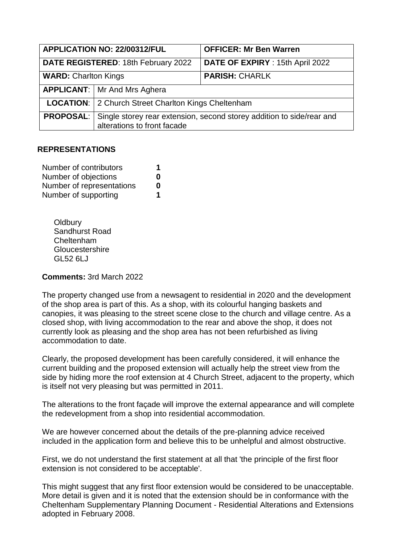| APPLICATION NO: 22/00312/FUL        |                                                                                                      | <b>OFFICER: Mr Ben Warren</b>    |
|-------------------------------------|------------------------------------------------------------------------------------------------------|----------------------------------|
| DATE REGISTERED: 18th February 2022 |                                                                                                      | DATE OF EXPIRY : 15th April 2022 |
| <b>WARD: Charlton Kings</b>         |                                                                                                      | <b>PARISH: CHARLK</b>            |
|                                     | <b>APPLICANT:</b>   Mr And Mrs Aghera                                                                |                                  |
|                                     | <b>LOCATION:</b> 2 Church Street Charlton Kings Cheltenham                                           |                                  |
| <b>PROPOSAL:</b>                    | Single storey rear extension, second storey addition to side/rear and<br>alterations to front facade |                                  |

## **REPRESENTATIONS**

| Number of contributors    | 1 |
|---------------------------|---|
| Number of objections      | O |
| Number of representations | O |
| Number of supporting      | 1 |

**Oldbury** Sandhurst Road Cheltenham **Gloucestershire** GL52 6LJ

**Comments:** 3rd March 2022

The property changed use from a newsagent to residential in 2020 and the development of the shop area is part of this. As a shop, with its colourful hanging baskets and canopies, it was pleasing to the street scene close to the church and village centre. As a closed shop, with living accommodation to the rear and above the shop, it does not currently look as pleasing and the shop area has not been refurbished as living accommodation to date.

Clearly, the proposed development has been carefully considered, it will enhance the current building and the proposed extension will actually help the street view from the side by hiding more the roof extension at 4 Church Street, adjacent to the property, which is itself not very pleasing but was permitted in 2011.

The alterations to the front façade will improve the external appearance and will complete the redevelopment from a shop into residential accommodation.

We are however concerned about the details of the pre-planning advice received included in the application form and believe this to be unhelpful and almost obstructive.

First, we do not understand the first statement at all that 'the principle of the first floor extension is not considered to be acceptable'.

This might suggest that any first floor extension would be considered to be unacceptable. More detail is given and it is noted that the extension should be in conformance with the Cheltenham Supplementary Planning Document - Residential Alterations and Extensions adopted in February 2008.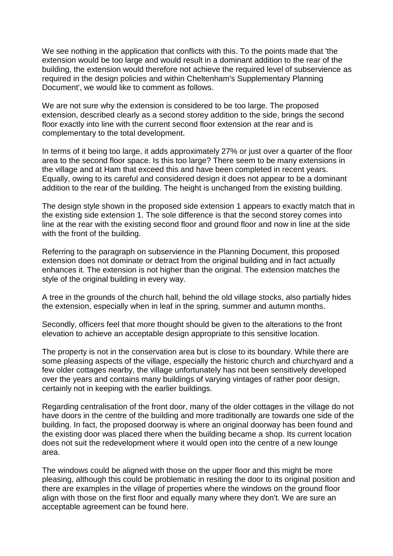We see nothing in the application that conflicts with this. To the points made that 'the extension would be too large and would result in a dominant addition to the rear of the building, the extension would therefore not achieve the required level of subservience as required in the design policies and within Cheltenham's Supplementary Planning Document', we would like to comment as follows.

We are not sure why the extension is considered to be too large. The proposed extension, described clearly as a second storey addition to the side, brings the second floor exactly into line with the current second floor extension at the rear and is complementary to the total development.

In terms of it being too large, it adds approximately 27% or just over a quarter of the floor area to the second floor space. Is this too large? There seem to be many extensions in the village and at Ham that exceed this and have been completed in recent years. Equally, owing to its careful and considered design it does not appear to be a dominant addition to the rear of the building. The height is unchanged from the existing building.

The design style shown in the proposed side extension 1 appears to exactly match that in the existing side extension 1. The sole difference is that the second storey comes into line at the rear with the existing second floor and ground floor and now in line at the side with the front of the building.

Referring to the paragraph on subservience in the Planning Document, this proposed extension does not dominate or detract from the original building and in fact actually enhances it. The extension is not higher than the original. The extension matches the style of the original building in every way.

A tree in the grounds of the church hall, behind the old village stocks, also partially hides the extension, especially when in leaf in the spring, summer and autumn months.

Secondly, officers feel that more thought should be given to the alterations to the front elevation to achieve an acceptable design appropriate to this sensitive location.

The property is not in the conservation area but is close to its boundary. While there are some pleasing aspects of the village, especially the historic church and churchyard and a few older cottages nearby, the village unfortunately has not been sensitively developed over the years and contains many buildings of varying vintages of rather poor design, certainly not in keeping with the earlier buildings.

Regarding centralisation of the front door, many of the older cottages in the village do not have doors in the centre of the building and more traditionally are towards one side of the building. In fact, the proposed doorway is where an original doorway has been found and the existing door was placed there when the building became a shop. Its current location does not suit the redevelopment where it would open into the centre of a new lounge area.

The windows could be aligned with those on the upper floor and this might be more pleasing, although this could be problematic in resiting the door to its original position and there are examples in the village of properties where the windows on the ground floor align with those on the first floor and equally many where they don't. We are sure an acceptable agreement can be found here.